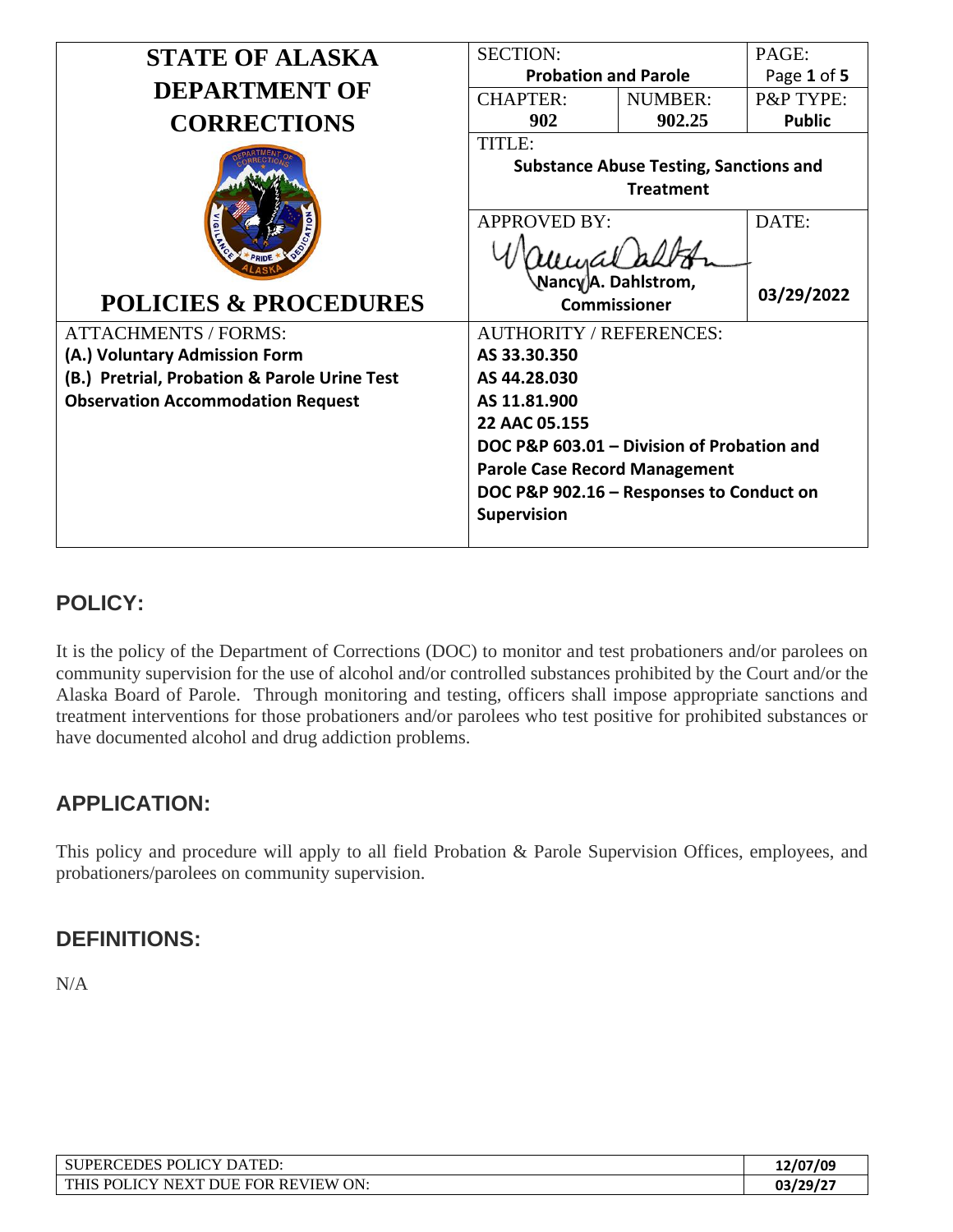| <b>STATE OF ALASKA</b>                                                                                                                                                                       | <b>SECTION:</b>                                                                                                                                                                                                                                                                                                                        |                                                                   | PAGE:               |
|----------------------------------------------------------------------------------------------------------------------------------------------------------------------------------------------|----------------------------------------------------------------------------------------------------------------------------------------------------------------------------------------------------------------------------------------------------------------------------------------------------------------------------------------|-------------------------------------------------------------------|---------------------|
|                                                                                                                                                                                              | <b>Probation and Parole</b>                                                                                                                                                                                                                                                                                                            |                                                                   | Page 1 of 5         |
| <b>DEPARTMENT OF</b>                                                                                                                                                                         | <b>CHAPTER:</b>                                                                                                                                                                                                                                                                                                                        | <b>NUMBER:</b>                                                    | P&P TYPE:           |
| <b>CORRECTIONS</b>                                                                                                                                                                           | 902                                                                                                                                                                                                                                                                                                                                    | 902.25                                                            | <b>Public</b>       |
| <b>POLICIES &amp; PROCEDURES</b><br><b>ATTACHMENTS / FORMS:</b><br>(A.) Voluntary Admission Form<br>(B.) Pretrial, Probation & Parole Urine Test<br><b>Observation Accommodation Request</b> | TITLE:<br><b>APPROVED BY:</b><br>Nancγ)A. Dahlstrom,<br><b>Commissioner</b><br><b>AUTHORITY / REFERENCES:</b><br>AS 33.30.350<br>AS 44.28.030<br>AS 11.81.900<br>22 AAC 05.155<br>DOC P&P 603.01 - Division of Probation and<br><b>Parole Case Record Management</b><br>DOC P&P 902.16 - Responses to Conduct on<br><b>Supervision</b> | <b>Substance Abuse Testing, Sanctions and</b><br><b>Treatment</b> | DATE:<br>03/29/2022 |

## **POLICY:**

It is the policy of the Department of Corrections (DOC) to monitor and test probationers and/or parolees on community supervision for the use of alcohol and/or controlled substances prohibited by the Court and/or the Alaska Board of Parole. Through monitoring and testing, officers shall impose appropriate sanctions and treatment interventions for those probationers and/or parolees who test positive for prohibited substances or have documented alcohol and drug addiction problems.

## **APPLICATION:**

This policy and procedure will apply to all field Probation & Parole Supervision Offices, employees, and probationers/parolees on community supervision.

## **DEFINITIONS:**

N/A

| TCY<br><b>POI</b><br><b>FDES</b><br>DATED:<br>PERt                                                         | 12/07/09 |
|------------------------------------------------------------------------------------------------------------|----------|
| ON:<br>IC<br>P <sub>0</sub><br><b>FOR</b><br>. REVIEW<br><b>NFYT</b><br><b>THIS</b><br>NIE<br>$\mathbf{v}$ | 03/29/27 |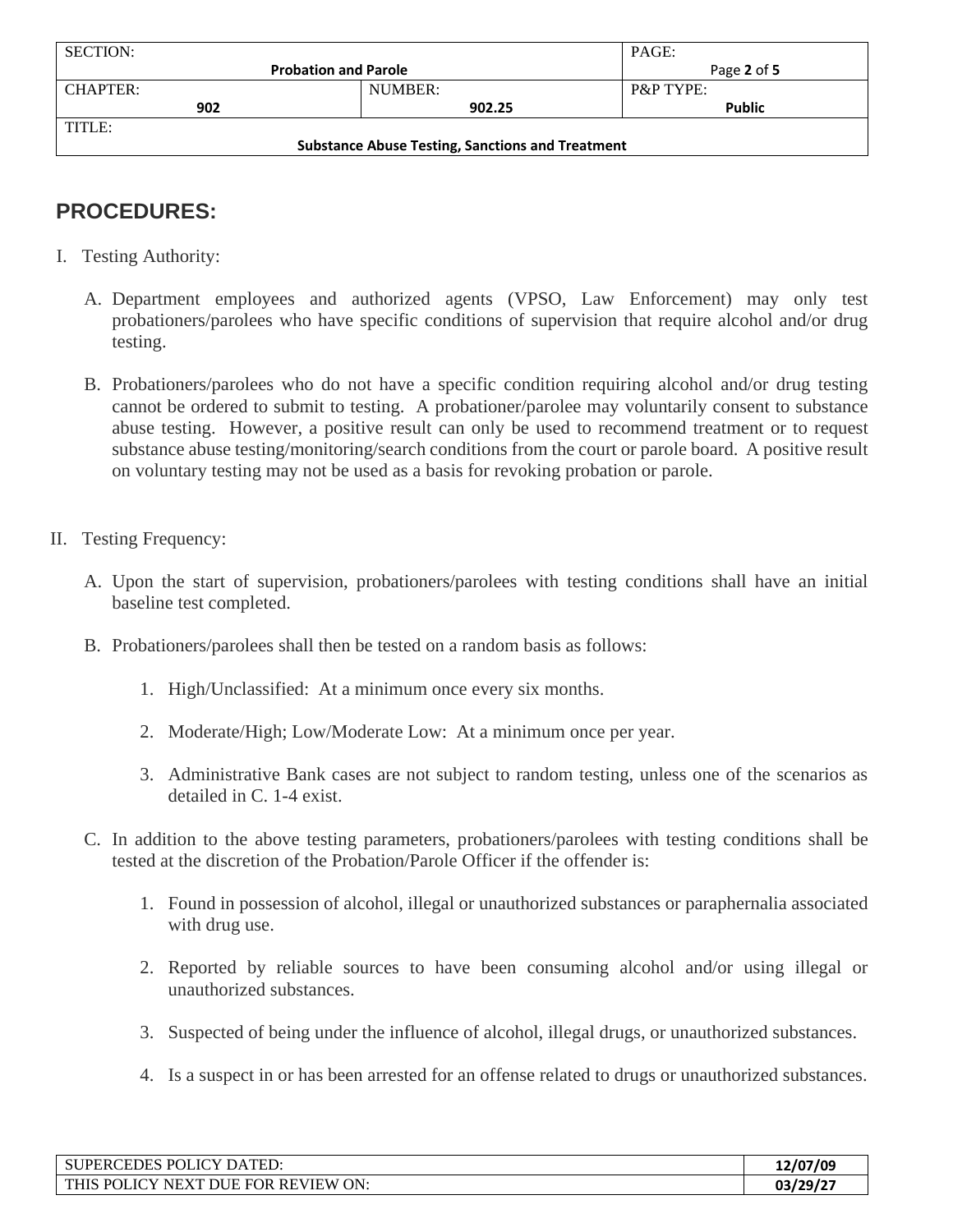| <b>SECTION:</b>                                         |         | PAGE:                |  |
|---------------------------------------------------------|---------|----------------------|--|
| <b>Probation and Parole</b>                             |         | Page 2 of 5          |  |
| <b>CHAPTER:</b>                                         | NUMBER: | <b>P&amp;P TYPE:</b> |  |
| 902                                                     | 902.25  | <b>Public</b>        |  |
| TITLE:                                                  |         |                      |  |
| <b>Substance Abuse Testing, Sanctions and Treatment</b> |         |                      |  |

# **PROCEDURES:**

- I. Testing Authority:
	- A. Department employees and authorized agents (VPSO, Law Enforcement) may only test probationers/parolees who have specific conditions of supervision that require alcohol and/or drug testing.
	- B. Probationers/parolees who do not have a specific condition requiring alcohol and/or drug testing cannot be ordered to submit to testing. A probationer/parolee may voluntarily consent to substance abuse testing. However, a positive result can only be used to recommend treatment or to request substance abuse testing/monitoring/search conditions from the court or parole board. A positive result on voluntary testing may not be used as a basis for revoking probation or parole.
- II. Testing Frequency:
	- A. Upon the start of supervision, probationers/parolees with testing conditions shall have an initial baseline test completed.
	- B. Probationers/parolees shall then be tested on a random basis as follows:
		- 1. High/Unclassified: At a minimum once every six months.
		- 2. Moderate/High; Low/Moderate Low: At a minimum once per year.
		- 3. Administrative Bank cases are not subject to random testing, unless one of the scenarios as detailed in C. 1-4 exist.
	- C. In addition to the above testing parameters, probationers/parolees with testing conditions shall be tested at the discretion of the Probation/Parole Officer if the offender is:
		- 1. Found in possession of alcohol, illegal or unauthorized substances or paraphernalia associated with drug use.
		- 2. Reported by reliable sources to have been consuming alcohol and/or using illegal or unauthorized substances.
		- 3. Suspected of being under the influence of alcohol, illegal drugs, or unauthorized substances.
		- 4. Is a suspect in or has been arrested for an offense related to drugs or unauthorized substances.

| JPERCEDES POLICY DATED:<br><b>SU</b>                          | 12/07/09 |
|---------------------------------------------------------------|----------|
| FOR REVIEW ON:<br>POLICY<br><b>THIS</b><br>NEXT L<br>ΙH<br>DТ | 03/29/2  |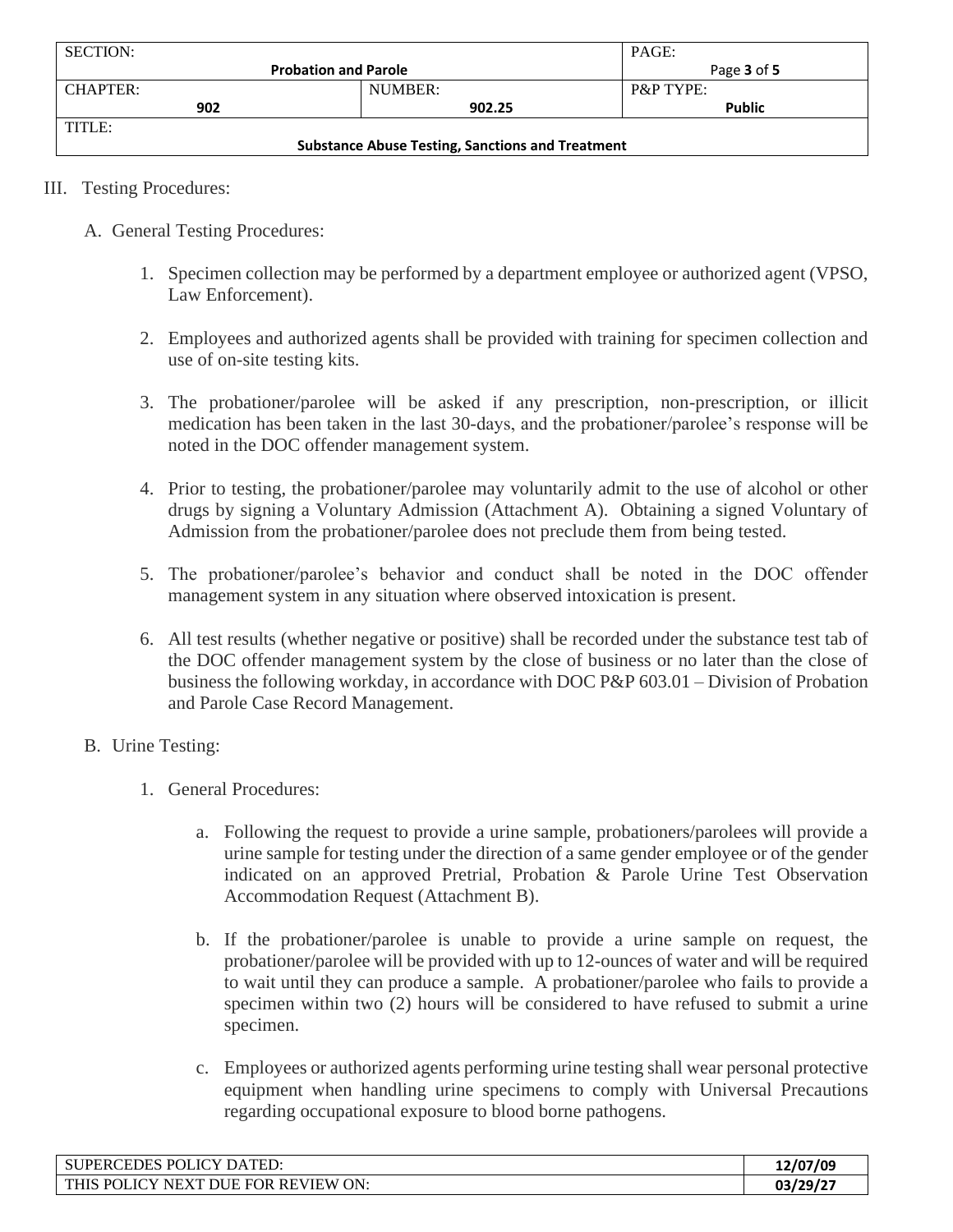| <b>SECTION:</b>                                         |                             | PAGE:                |
|---------------------------------------------------------|-----------------------------|----------------------|
|                                                         | <b>Probation and Parole</b> | Page 3 of 5          |
| <b>CHAPTER:</b>                                         | NUMBER:                     | <b>P&amp;P TYPE:</b> |
| 902                                                     | 902.25                      | <b>Public</b>        |
| TITLE:                                                  |                             |                      |
| <b>Substance Abuse Testing, Sanctions and Treatment</b> |                             |                      |

- III. Testing Procedures:
	- A. General Testing Procedures:
		- 1. Specimen collection may be performed by a department employee or authorized agent (VPSO, Law Enforcement).
		- 2. Employees and authorized agents shall be provided with training for specimen collection and use of on-site testing kits.
		- 3. The probationer/parolee will be asked if any prescription, non-prescription, or illicit medication has been taken in the last 30-days, and the probationer/parolee's response will be noted in the DOC offender management system.
		- 4. Prior to testing, the probationer/parolee may voluntarily admit to the use of alcohol or other drugs by signing a Voluntary Admission (Attachment A). Obtaining a signed Voluntary of Admission from the probationer/parolee does not preclude them from being tested.
		- 5. The probationer/parolee's behavior and conduct shall be noted in the DOC offender management system in any situation where observed intoxication is present.
		- 6. All test results (whether negative or positive) shall be recorded under the substance test tab of the DOC offender management system by the close of business or no later than the close of business the following workday, in accordance with DOC P&P 603.01 – Division of Probation and Parole Case Record Management.
	- B. Urine Testing:
		- 1. General Procedures:
			- a. Following the request to provide a urine sample, probationers/parolees will provide a urine sample for testing under the direction of a same gender employee or of the gender indicated on an approved Pretrial, Probation & Parole Urine Test Observation Accommodation Request (Attachment B).
			- b. If the probationer/parolee is unable to provide a urine sample on request, the probationer/parolee will be provided with up to 12-ounces of water and will be required to wait until they can produce a sample. A probationer/parolee who fails to provide a specimen within two (2) hours will be considered to have refused to submit a urine specimen.
			- c. Employees or authorized agents performing urine testing shall wear personal protective equipment when handling urine specimens to comply with Universal Precautions regarding occupational exposure to blood borne pathogens.

| SUPERCEDES POLICY DATED:                           | 12/07/09 |
|----------------------------------------------------|----------|
| NEXT DUE FOR REVIEW ON:<br>. POLICY<br><b>THIS</b> | 03/29/27 |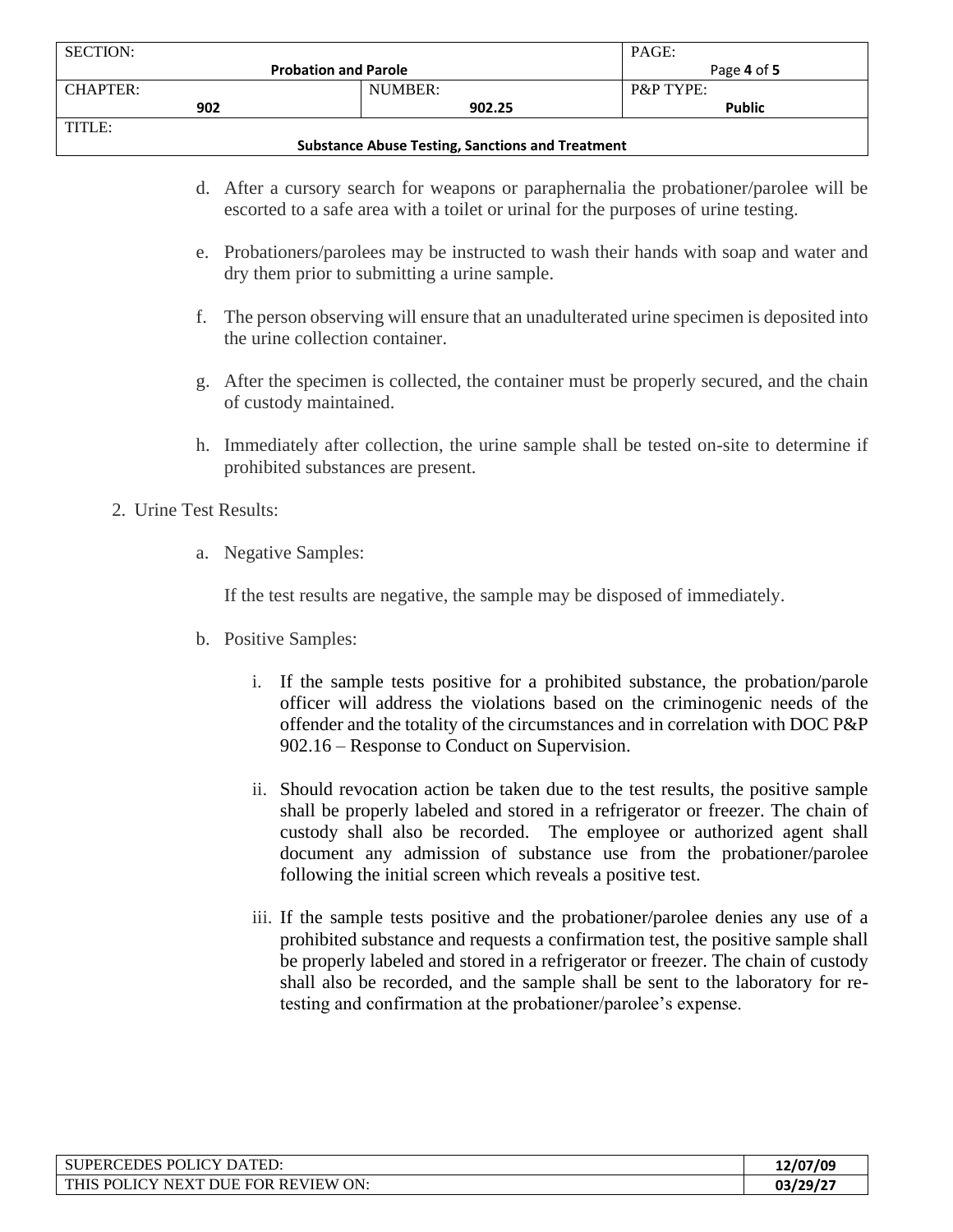| <b>SECTION:</b>                                         |                             | PAGE:                |
|---------------------------------------------------------|-----------------------------|----------------------|
|                                                         | <b>Probation and Parole</b> | Page 4 of 5          |
| CHAPTER:                                                | NUMBER:                     | <b>P&amp;P TYPE:</b> |
| 902                                                     | 902.25                      | <b>Public</b>        |
| TITLE:                                                  |                             |                      |
| <b>Substance Abuse Testing, Sanctions and Treatment</b> |                             |                      |

- d. After a cursory search for weapons or paraphernalia the probationer/parolee will be escorted to a safe area with a toilet or urinal for the purposes of urine testing.
- e. Probationers/parolees may be instructed to wash their hands with soap and water and dry them prior to submitting a urine sample.
- f. The person observing will ensure that an unadulterated urine specimen is deposited into the urine collection container.
- g. After the specimen is collected, the container must be properly secured, and the chain of custody maintained.
- h. Immediately after collection, the urine sample shall be tested on-site to determine if prohibited substances are present.

#### 2. Urine Test Results:

a. Negative Samples:

If the test results are negative, the sample may be disposed of immediately.

- b. Positive Samples:
	- i. If the sample tests positive for a prohibited substance, the probation/parole officer will address the violations based on the criminogenic needs of the offender and the totality of the circumstances and in correlation with DOC P&P 902.16 – Response to Conduct on Supervision.
	- ii. Should revocation action be taken due to the test results, the positive sample shall be properly labeled and stored in a refrigerator or freezer. The chain of custody shall also be recorded. The employee or authorized agent shall document any admission of substance use from the probationer/parolee following the initial screen which reveals a positive test.
	- iii. If the sample tests positive and the probationer/parolee denies any use of a prohibited substance and requests a confirmation test, the positive sample shall be properly labeled and stored in a refrigerator or freezer. The chain of custody shall also be recorded, and the sample shall be sent to the laboratory for retesting and confirmation at the probationer/parolee's expense.

| POLICY DATED:<br><b>RCEDES</b><br><b>SUPERC</b>                               | 12/07/09 |
|-------------------------------------------------------------------------------|----------|
| <b>THIS</b><br>I DUE FOR REVIEW<br>ON:<br>. POLIC'<br>' NEX'I'<br>$\mathbf v$ | 03/29/27 |